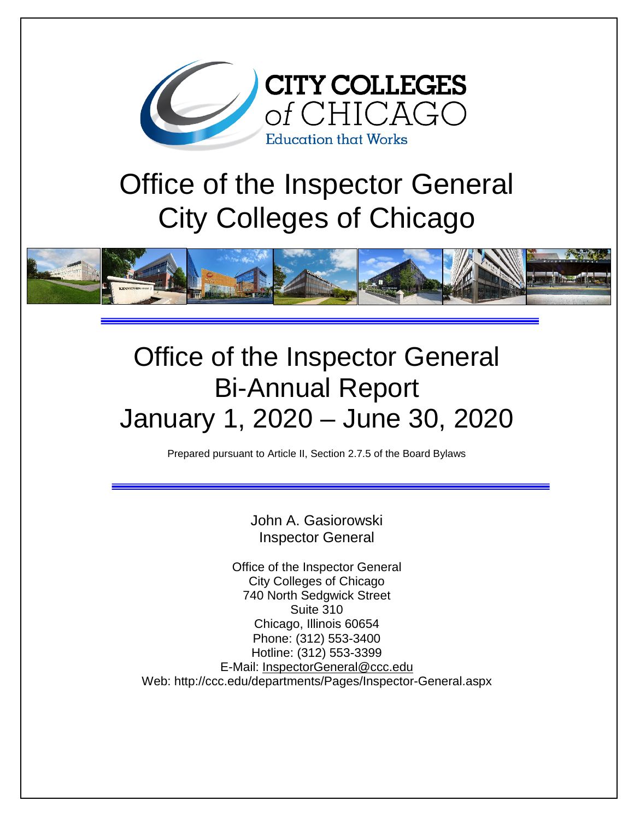

# Office of the Inspector General City Colleges of Chicago



## Office of the Inspector General Bi-Annual Report January 1, 2020 – June 30, 2020

Prepared pursuant to Article II, Section 2.7.5 of the Board Bylaws

John A. Gasiorowski Inspector General

Office of the Inspector General City Colleges of Chicago 740 North Sedgwick Street Suite 310 Chicago, Illinois 60654 Phone: (312) 553-3400 Hotline: (312) 553-3399 E-Mail: [InspectorGeneral@ccc.edu](mailto:InspectorGeneral@ccc.edu) Web: http://ccc.edu/departments/Pages/Inspector-General.aspx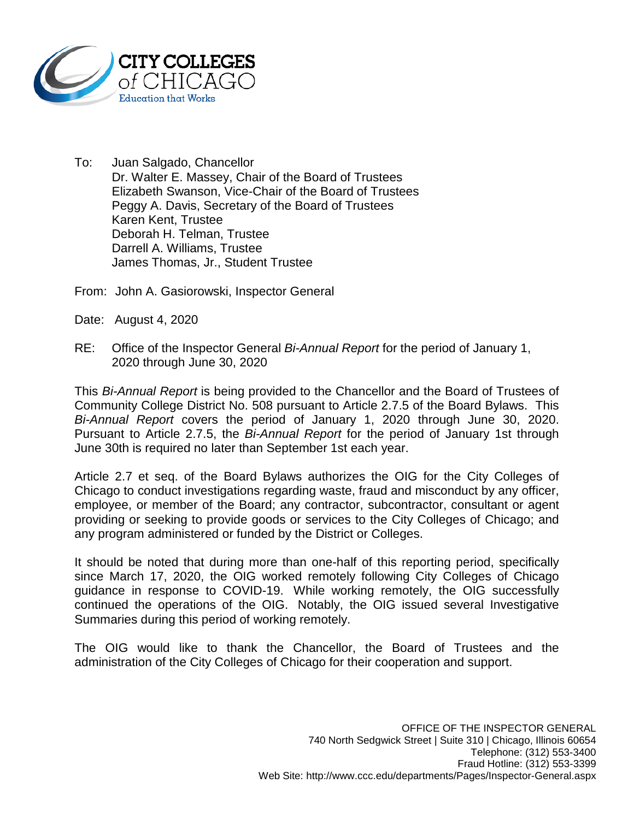

- To: Juan Salgado, Chancellor Dr. Walter E. Massey, Chair of the Board of Trustees Elizabeth Swanson, Vice-Chair of the Board of Trustees Peggy A. Davis, Secretary of the Board of Trustees Karen Kent, Trustee Deborah H. Telman, Trustee Darrell A. Williams, Trustee James Thomas, Jr., Student Trustee
- From: John A. Gasiorowski, Inspector General
- Date: August 4, 2020
- RE: Office of the Inspector General *Bi-Annual Report* for the period of January 1, 2020 through June 30, 2020

This *Bi-Annual Report* is being provided to the Chancellor and the Board of Trustees of Community College District No. 508 pursuant to Article 2.7.5 of the Board Bylaws. This *Bi-Annual Report* covers the period of January 1, 2020 through June 30, 2020. Pursuant to Article 2.7.5, the *Bi-Annual Report* for the period of January 1st through June 30th is required no later than September 1st each year.

Article 2.7 et seq. of the Board Bylaws authorizes the OIG for the City Colleges of Chicago to conduct investigations regarding waste, fraud and misconduct by any officer, employee, or member of the Board; any contractor, subcontractor, consultant or agent providing or seeking to provide goods or services to the City Colleges of Chicago; and any program administered or funded by the District or Colleges.

It should be noted that during more than one-half of this reporting period, specifically since March 17, 2020, the OIG worked remotely following City Colleges of Chicago guidance in response to COVID-19. While working remotely, the OIG successfully continued the operations of the OIG. Notably, the OIG issued several Investigative Summaries during this period of working remotely.

The OIG would like to thank the Chancellor, the Board of Trustees and the administration of the City Colleges of Chicago for their cooperation and support.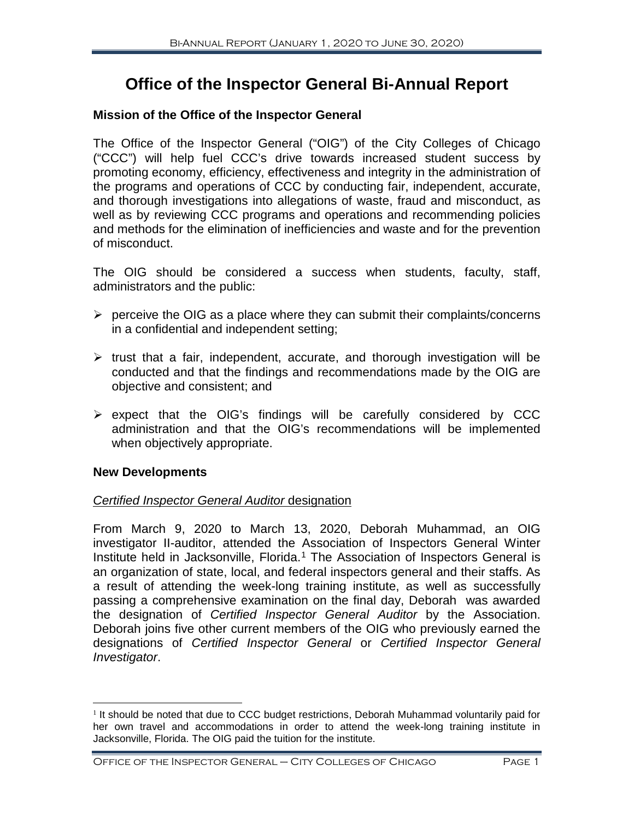### **Office of the Inspector General Bi-Annual Report**

#### **Mission of the Office of the Inspector General**

The Office of the Inspector General ("OIG") of the City Colleges of Chicago ("CCC") will help fuel CCC's drive towards increased student success by promoting economy, efficiency, effectiveness and integrity in the administration of the programs and operations of CCC by conducting fair, independent, accurate, and thorough investigations into allegations of waste, fraud and misconduct, as well as by reviewing CCC programs and operations and recommending policies and methods for the elimination of inefficiencies and waste and for the prevention of misconduct.

The OIG should be considered a success when students, faculty, staff, administrators and the public:

- $\triangleright$  perceive the OIG as a place where they can submit their complaints/concerns in a confidential and independent setting;
- $\triangleright$  trust that a fair, independent, accurate, and thorough investigation will be conducted and that the findings and recommendations made by the OIG are objective and consistent; and
- $\triangleright$  expect that the OIG's findings will be carefully considered by CCC administration and that the OIG's recommendations will be implemented when objectively appropriate.

#### **New Developments**

#### *Certified Inspector General Auditor* designation

From March 9, 2020 to March 13, 2020, Deborah Muhammad, an OIG investigator II-auditor, attended the Association of Inspectors General Winter Institute held in Jacksonville, Florida. [1](#page-2-0) The Association of Inspectors General is an organization of state, local, and federal inspectors general and their staffs. As a result of attending the week-long training institute, as well as successfully passing a comprehensive examination on the final day, Deborah was awarded the designation of *Certified Inspector General Auditor* by the Association. Deborah joins five other current members of the OIG who previously earned the designations of *Certified Inspector General* or *Certified Inspector General Investigator*.

<span id="page-2-0"></span> $1$  It should be noted that due to CCC budget restrictions, Deborah Muhammad voluntarily paid for her own travel and accommodations in order to attend the week-long training institute in Jacksonville, Florida. The OIG paid the tuition for the institute.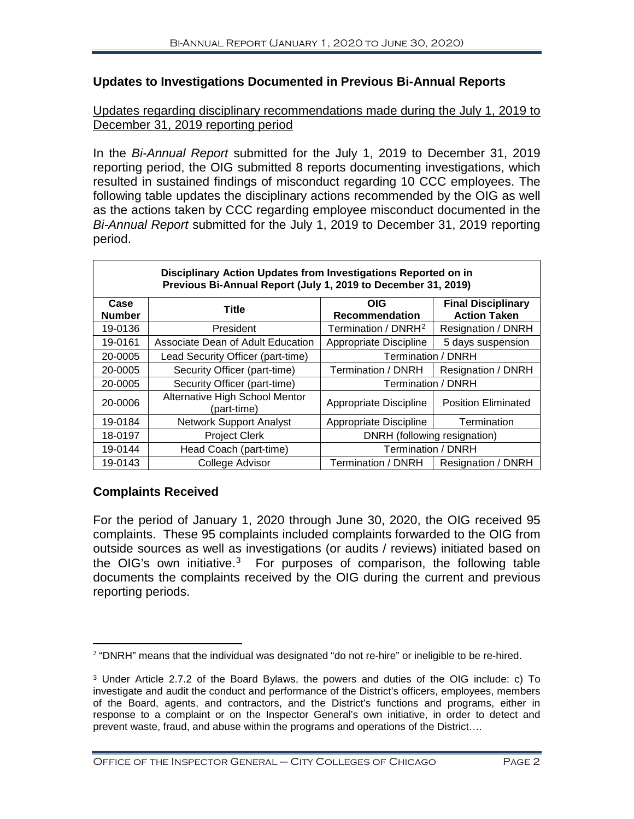#### **Updates to Investigations Documented in Previous Bi-Annual Reports**

#### Updates regarding disciplinary recommendations made during the July 1, 2019 to December 31, 2019 reporting period

In the *Bi-Annual Report* submitted for the July 1, 2019 to December 31, 2019 reporting period, the OIG submitted 8 reports documenting investigations, which resulted in sustained findings of misconduct regarding 10 CCC employees. The following table updates the disciplinary actions recommended by the OIG as well as the actions taken by CCC regarding employee misconduct documented in the *Bi-Annual Report* submitted for the July 1, 2019 to December 31, 2019 reporting period.

| Disciplinary Action Opdates from investigations Reported on in<br>Previous Bi-Annual Report (July 1, 2019 to December 31, 2019) |                                               |                                 |                                                  |  |
|---------------------------------------------------------------------------------------------------------------------------------|-----------------------------------------------|---------------------------------|--------------------------------------------------|--|
| Case<br><b>Number</b>                                                                                                           | <b>Title</b>                                  | <b>OIG</b><br>Recommendation    | <b>Final Disciplinary</b><br><b>Action Taken</b> |  |
| 19-0136                                                                                                                         | President                                     | Termination / DNRH <sup>2</sup> | Resignation / DNRH                               |  |
| 19-0161                                                                                                                         | Associate Dean of Adult Education             | Appropriate Discipline          | 5 days suspension                                |  |
| 20-0005                                                                                                                         | Lead Security Officer (part-time)             | <b>Termination / DNRH</b>       |                                                  |  |
| 20-0005                                                                                                                         | Security Officer (part-time)                  | Termination / DNRH              | Resignation / DNRH                               |  |
| 20-0005                                                                                                                         | Security Officer (part-time)                  | Termination / DNRH              |                                                  |  |
| 20-0006                                                                                                                         | Alternative High School Mentor<br>(part-time) | Appropriate Discipline          | <b>Position Eliminated</b>                       |  |
| 19-0184                                                                                                                         | <b>Network Support Analyst</b>                | Appropriate Discipline          | Termination                                      |  |
| 18-0197                                                                                                                         | <b>Project Clerk</b>                          | DNRH (following resignation)    |                                                  |  |
| 19-0144                                                                                                                         | Head Coach (part-time)                        | Termination / DNRH              |                                                  |  |
| 19-0143                                                                                                                         | <b>College Advisor</b>                        | Termination / DNRH              | Resignation / DNRH                               |  |

### **Disciplinary Action Updates from Investigations Reported on in**

#### **Complaints Received**

For the period of January 1, 2020 through June 30, 2020, the OIG received 95 complaints. These 95 complaints included complaints forwarded to the OIG from outside sources as well as investigations (or audits / reviews) initiated based on the OIG's own initiative.<sup>[3](#page-3-1)</sup> For purposes of comparison, the following table documents the complaints received by the OIG during the current and previous reporting periods.

<span id="page-3-0"></span><sup>&</sup>lt;sup>2</sup> "DNRH" means that the individual was designated "do not re-hire" or ineligible to be re-hired.

<span id="page-3-1"></span><sup>3</sup> Under Article 2.7.2 of the Board Bylaws, the powers and duties of the OIG include: c) To investigate and audit the conduct and performance of the District's officers, employees, members of the Board, agents, and contractors, and the District's functions and programs, either in response to a complaint or on the Inspector General's own initiative, in order to detect and prevent waste, fraud, and abuse within the programs and operations of the District….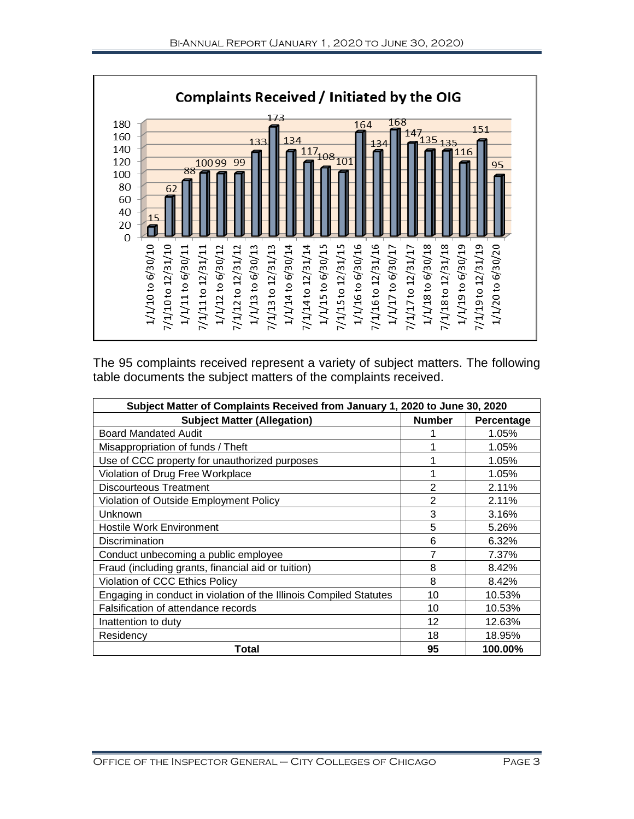

The 95 complaints received represent a variety of subject matters. The following table documents the subject matters of the complaints received.

| Subject Matter of Complaints Received from January 1, 2020 to June 30, 2020 |                |            |  |  |
|-----------------------------------------------------------------------------|----------------|------------|--|--|
| <b>Subject Matter (Allegation)</b>                                          | <b>Number</b>  | Percentage |  |  |
| <b>Board Mandated Audit</b>                                                 |                | 1.05%      |  |  |
| Misappropriation of funds / Theft                                           |                | 1.05%      |  |  |
| Use of CCC property for unauthorized purposes                               |                | 1.05%      |  |  |
| Violation of Drug Free Workplace                                            |                | 1.05%      |  |  |
| Discourteous Treatment                                                      | $\overline{2}$ | 2.11%      |  |  |
| Violation of Outside Employment Policy                                      | 2              | 2.11%      |  |  |
| Unknown                                                                     | 3              | 3.16%      |  |  |
| <b>Hostile Work Environment</b>                                             | 5              | 5.26%      |  |  |
| Discrimination                                                              | 6              | 6.32%      |  |  |
| Conduct unbecoming a public employee                                        |                | 7.37%      |  |  |
| Fraud (including grants, financial aid or tuition)                          | 8              | 8.42%      |  |  |
| Violation of CCC Ethics Policy                                              | 8              | 8.42%      |  |  |
| Engaging in conduct in violation of the Illinois Compiled Statutes          | 10             | 10.53%     |  |  |
| Falsification of attendance records                                         | 10             | 10.53%     |  |  |
| Inattention to duty                                                         | 12             | 12.63%     |  |  |
| Residency                                                                   | 18             | 18.95%     |  |  |
| Total                                                                       | 95             | 100.00%    |  |  |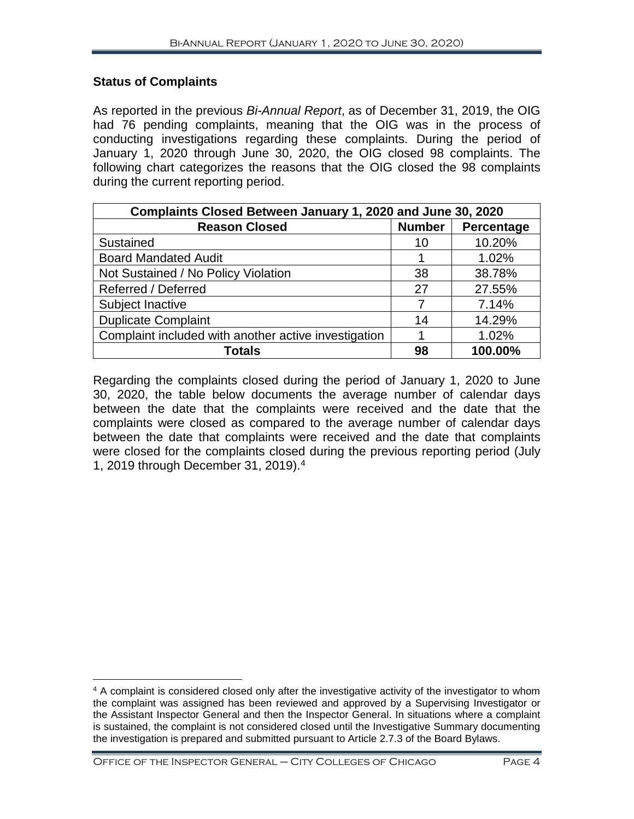#### **Status of Complaints**

As reported in the previous *Bi-Annual Report*, as of December 31, 2019, the OIG had 76 pending complaints, meaning that the OIG was in the process of conducting investigations regarding these complaints. During the period of January 1, 2020 through June 30, 2020, the OIG closed 98 complaints. The following chart categorizes the reasons that the OIG closed the 98 complaints during the current reporting period.

| Complaints Closed Between January 1, 2020 and June 30, 2020 |               |            |  |  |
|-------------------------------------------------------------|---------------|------------|--|--|
| <b>Reason Closed</b>                                        | <b>Number</b> | Percentage |  |  |
| Sustained                                                   | 10            | 10.20%     |  |  |
| <b>Board Mandated Audit</b>                                 |               | 1.02%      |  |  |
| Not Sustained / No Policy Violation                         | 38            | 38.78%     |  |  |
| Referred / Deferred                                         | 27            | 27.55%     |  |  |
| Subject Inactive                                            |               | 7.14%      |  |  |
| <b>Duplicate Complaint</b>                                  | 14            | 14.29%     |  |  |
| Complaint included with another active investigation        |               | 1.02%      |  |  |
| <b>Totals</b>                                               | 98            | 100.00%    |  |  |

Regarding the complaints closed during the period of January 1, 2020 to June 30, 2020, the table below documents the average number of calendar days between the date that the complaints were received and the date that the complaints were closed as compared to the average number of calendar days between the date that complaints were received and the date that complaints were closed for the complaints closed during the previous reporting period (July 1, 2019 through December 31, 2019). [4](#page-5-0)

Office of the Inspector General – City Colleges of Chicago Page 4

<span id="page-5-0"></span> $\overline{a}$ <sup>4</sup> A complaint is considered closed only after the investigative activity of the investigator to whom the complaint was assigned has been reviewed and approved by a Supervising Investigator or the Assistant Inspector General and then the Inspector General. In situations where a complaint is sustained, the complaint is not considered closed until the Investigative Summary documenting the investigation is prepared and submitted pursuant to Article 2.7.3 of the Board Bylaws.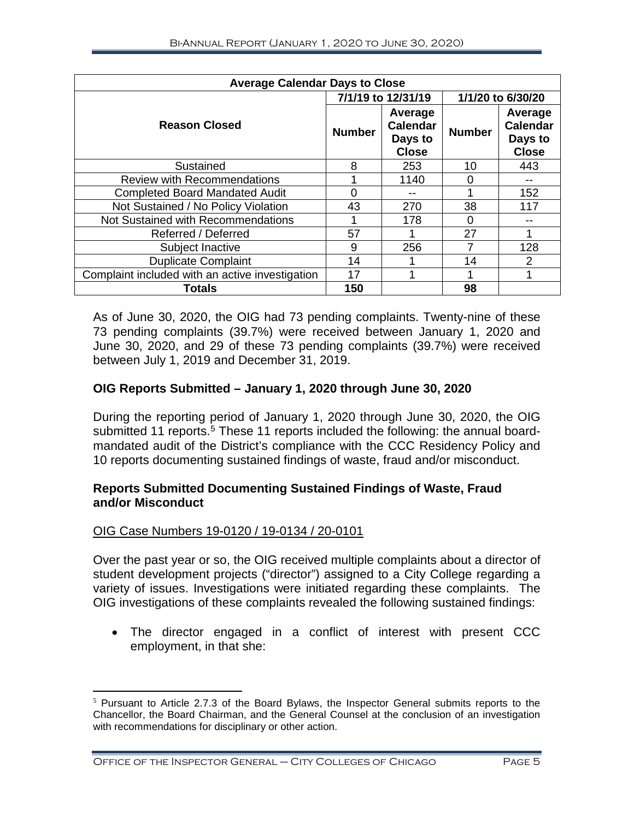| <b>Average Calendar Days to Close</b>           |                    |                                                       |                   |                                                       |
|-------------------------------------------------|--------------------|-------------------------------------------------------|-------------------|-------------------------------------------------------|
|                                                 | 7/1/19 to 12/31/19 |                                                       | 1/1/20 to 6/30/20 |                                                       |
| <b>Reason Closed</b>                            | <b>Number</b>      | Average<br><b>Calendar</b><br>Days to<br><b>Close</b> | <b>Number</b>     | Average<br><b>Calendar</b><br>Days to<br><b>Close</b> |
| Sustained                                       | 8                  | 253                                                   | 10                | 443                                                   |
| <b>Review with Recommendations</b>              |                    | 1140                                                  | O                 |                                                       |
| <b>Completed Board Mandated Audit</b>           | 0                  |                                                       |                   | 152                                                   |
| Not Sustained / No Policy Violation             | 43                 | 270                                                   | 38                | 117                                                   |
| Not Sustained with Recommendations              |                    | 178                                                   | 0                 |                                                       |
| Referred / Deferred                             | 57                 |                                                       | 27                |                                                       |
| Subject Inactive                                | 9                  | 256                                                   |                   | 128                                                   |
| <b>Duplicate Complaint</b>                      | 14                 |                                                       | 14                | 2                                                     |
| Complaint included with an active investigation | 17                 |                                                       |                   |                                                       |
| <b>Totals</b>                                   | 150                |                                                       | 98                |                                                       |

As of June 30, 2020, the OIG had 73 pending complaints. Twenty-nine of these 73 pending complaints (39.7%) were received between January 1, 2020 and June 30, 2020, and 29 of these 73 pending complaints (39.7%) were received between July 1, 2019 and December 31, 2019.

#### **OIG Reports Submitted – January 1, 2020 through June 30, 2020**

During the reporting period of January 1, 2020 through June 30, 2020, the OIG submitted 11 reports.<sup>[5](#page-6-0)</sup> These 11 reports included the following: the annual boardmandated audit of the District's compliance with the CCC Residency Policy and 10 reports documenting sustained findings of waste, fraud and/or misconduct.

#### **Reports Submitted Documenting Sustained Findings of Waste, Fraud and/or Misconduct**

#### OIG Case Numbers 19-0120 / 19-0134 / 20-0101

Over the past year or so, the OIG received multiple complaints about a director of student development projects ("director") assigned to a City College regarding a variety of issues. Investigations were initiated regarding these complaints. The OIG investigations of these complaints revealed the following sustained findings:

• The director engaged in a conflict of interest with present CCC employment, in that she:

<span id="page-6-0"></span> $5$  Pursuant to Article 2.7.3 of the Board Bylaws, the Inspector General submits reports to the Chancellor, the Board Chairman, and the General Counsel at the conclusion of an investigation with recommendations for disciplinary or other action.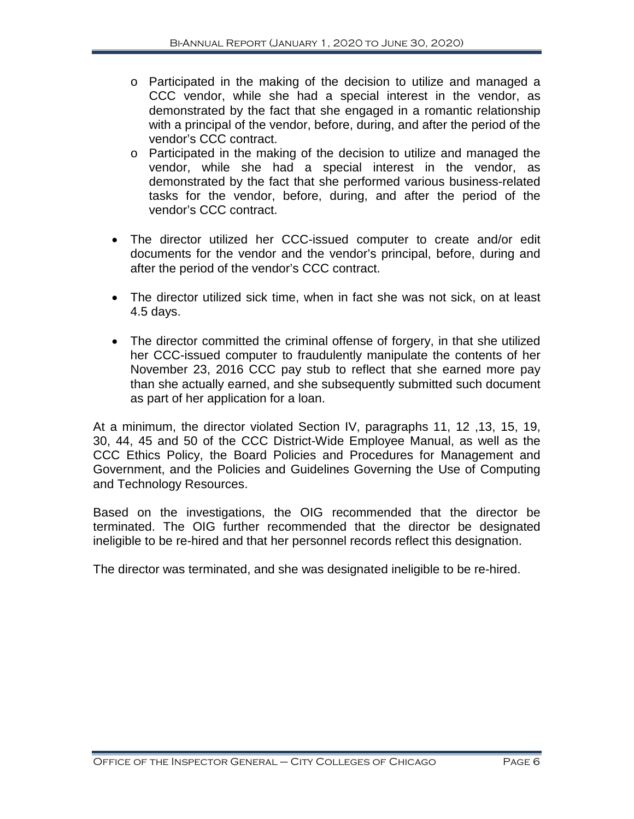- o Participated in the making of the decision to utilize and managed a CCC vendor, while she had a special interest in the vendor, as demonstrated by the fact that she engaged in a romantic relationship with a principal of the vendor, before, during, and after the period of the vendor's CCC contract.
- o Participated in the making of the decision to utilize and managed the vendor, while she had a special interest in the vendor, as demonstrated by the fact that she performed various business-related tasks for the vendor, before, during, and after the period of the vendor's CCC contract.
- The director utilized her CCC-issued computer to create and/or edit documents for the vendor and the vendor's principal, before, during and after the period of the vendor's CCC contract.
- The director utilized sick time, when in fact she was not sick, on at least 4.5 days.
- The director committed the criminal offense of forgery, in that she utilized her CCC-issued computer to fraudulently manipulate the contents of her November 23, 2016 CCC pay stub to reflect that she earned more pay than she actually earned, and she subsequently submitted such document as part of her application for a loan.

At a minimum, the director violated Section IV, paragraphs 11, 12 ,13, 15, 19, 30, 44, 45 and 50 of the CCC District-Wide Employee Manual, as well as the CCC Ethics Policy, the Board Policies and Procedures for Management and Government, and the Policies and Guidelines Governing the Use of Computing and Technology Resources.

Based on the investigations, the OIG recommended that the director be terminated. The OIG further recommended that the director be designated ineligible to be re-hired and that her personnel records reflect this designation.

The director was terminated, and she was designated ineligible to be re-hired.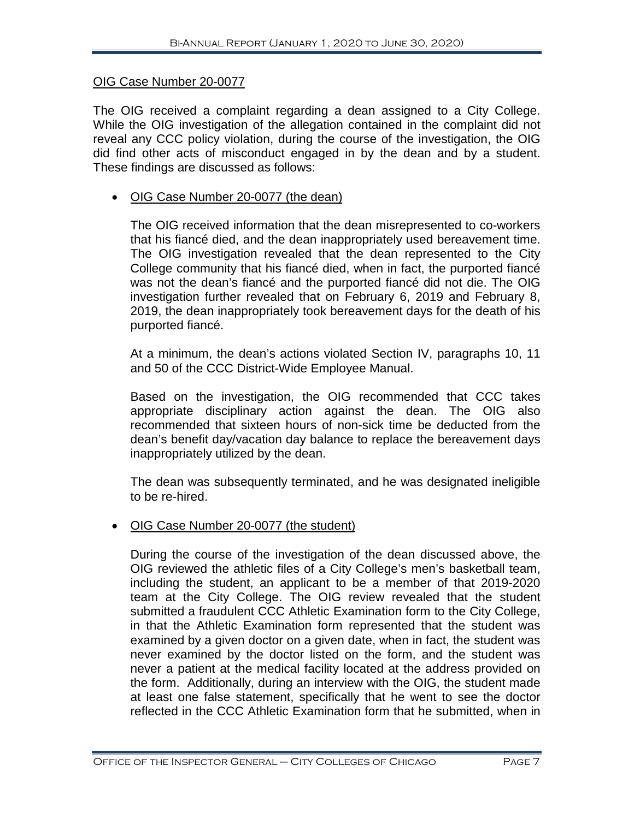#### OIG Case Number 20-0077

The OIG received a complaint regarding a dean assigned to a City College. While the OIG investigation of the allegation contained in the complaint did not reveal any CCC policy violation, during the course of the investigation, the OIG did find other acts of misconduct engaged in by the dean and by a student. These findings are discussed as follows:

#### • OIG Case Number 20-0077 (the dean)

The OIG received information that the dean misrepresented to co-workers that his fiancé died, and the dean inappropriately used bereavement time. The OIG investigation revealed that the dean represented to the City College community that his fiancé died, when in fact, the purported fiancé was not the dean's fiancé and the purported fiancé did not die. The OIG investigation further revealed that on February 6, 2019 and February 8, 2019, the dean inappropriately took bereavement days for the death of his purported fiancé.

At a minimum, the dean's actions violated Section IV, paragraphs 10, 11 and 50 of the CCC District-Wide Employee Manual.

Based on the investigation, the OIG recommended that CCC takes appropriate disciplinary action against the dean. The OIG also recommended that sixteen hours of non-sick time be deducted from the dean's benefit day/vacation day balance to replace the bereavement days inappropriately utilized by the dean.

The dean was subsequently terminated, and he was designated ineligible to be re-hired.

#### • OIG Case Number 20-0077 (the student)

During the course of the investigation of the dean discussed above, the OIG reviewed the athletic files of a City College's men's basketball team, including the student, an applicant to be a member of that 2019-2020 team at the City College. The OIG review revealed that the student submitted a fraudulent CCC Athletic Examination form to the City College, in that the Athletic Examination form represented that the student was examined by a given doctor on a given date, when in fact, the student was never examined by the doctor listed on the form, and the student was never a patient at the medical facility located at the address provided on the form. Additionally, during an interview with the OIG, the student made at least one false statement, specifically that he went to see the doctor reflected in the CCC Athletic Examination form that he submitted, when in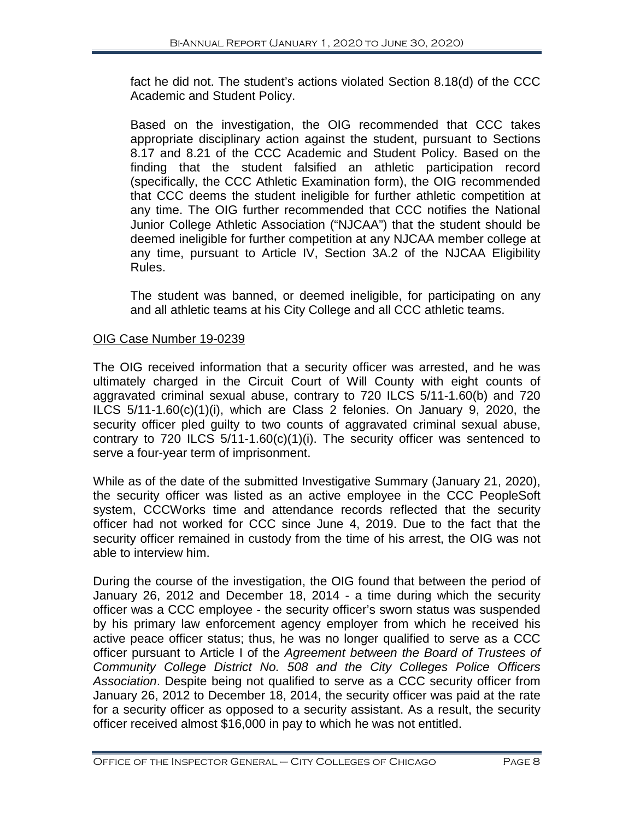fact he did not. The student's actions violated Section 8.18(d) of the CCC Academic and Student Policy.

Based on the investigation, the OIG recommended that CCC takes appropriate disciplinary action against the student, pursuant to Sections 8.17 and 8.21 of the CCC Academic and Student Policy. Based on the finding that the student falsified an athletic participation record (specifically, the CCC Athletic Examination form), the OIG recommended that CCC deems the student ineligible for further athletic competition at any time. The OIG further recommended that CCC notifies the National Junior College Athletic Association ("NJCAA") that the student should be deemed ineligible for further competition at any NJCAA member college at any time, pursuant to Article IV, Section 3A.2 of the NJCAA Eligibility Rules.

The student was banned, or deemed ineligible, for participating on any and all athletic teams at his City College and all CCC athletic teams.

#### OIG Case Number 19-0239

The OIG received information that a security officer was arrested, and he was ultimately charged in the Circuit Court of Will County with eight counts of aggravated criminal sexual abuse, contrary to 720 ILCS 5/11-1.60(b) and 720 ILCS 5/11-1.60(c)(1)(i), which are Class 2 felonies. On January 9, 2020, the security officer pled guilty to two counts of aggravated criminal sexual abuse, contrary to 720 ILCS 5/11-1.60(c)(1)(i). The security officer was sentenced to serve a four-year term of imprisonment.

While as of the date of the submitted Investigative Summary (January 21, 2020), the security officer was listed as an active employee in the CCC PeopleSoft system, CCCWorks time and attendance records reflected that the security officer had not worked for CCC since June 4, 2019. Due to the fact that the security officer remained in custody from the time of his arrest, the OIG was not able to interview him.

During the course of the investigation, the OIG found that between the period of January 26, 2012 and December 18, 2014 - a time during which the security officer was a CCC employee - the security officer's sworn status was suspended by his primary law enforcement agency employer from which he received his active peace officer status; thus, he was no longer qualified to serve as a CCC officer pursuant to Article I of the *Agreement between the Board of Trustees of Community College District No. 508 and the City Colleges Police Officers Association*. Despite being not qualified to serve as a CCC security officer from January 26, 2012 to December 18, 2014, the security officer was paid at the rate for a security officer as opposed to a security assistant. As a result, the security officer received almost \$16,000 in pay to which he was not entitled.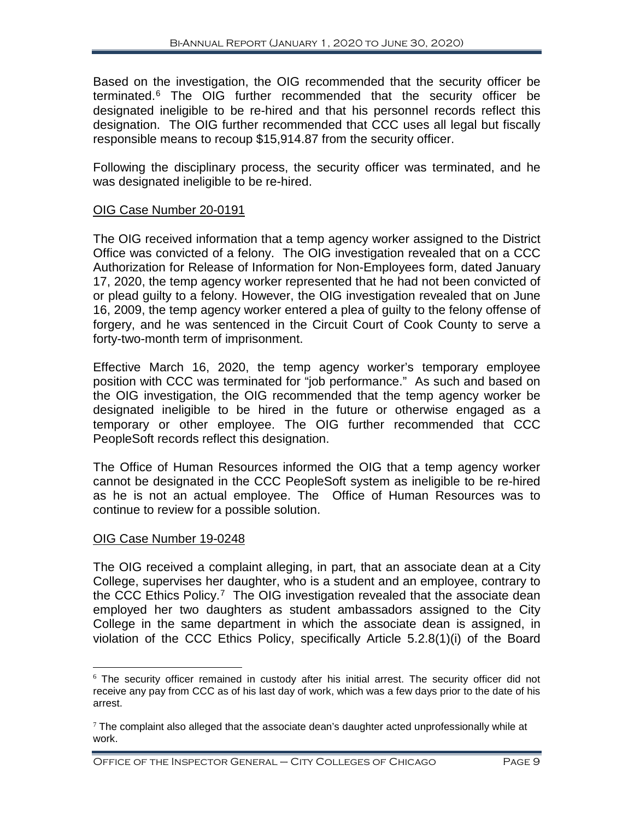Based on the investigation, the OIG recommended that the security officer be terminated.[6](#page-10-0) The OIG further recommended that the security officer be designated ineligible to be re-hired and that his personnel records reflect this designation. The OIG further recommended that CCC uses all legal but fiscally responsible means to recoup \$15,914.87 from the security officer.

Following the disciplinary process, the security officer was terminated, and he was designated ineligible to be re-hired.

#### OIG Case Number 20-0191

The OIG received information that a temp agency worker assigned to the District Office was convicted of a felony. The OIG investigation revealed that on a CCC Authorization for Release of Information for Non-Employees form, dated January 17, 2020, the temp agency worker represented that he had not been convicted of or plead guilty to a felony. However, the OIG investigation revealed that on June 16, 2009, the temp agency worker entered a plea of guilty to the felony offense of forgery, and he was sentenced in the Circuit Court of Cook County to serve a forty-two-month term of imprisonment.

Effective March 16, 2020, the temp agency worker's temporary employee position with CCC was terminated for "job performance." As such and based on the OIG investigation, the OIG recommended that the temp agency worker be designated ineligible to be hired in the future or otherwise engaged as a temporary or other employee. The OIG further recommended that CCC PeopleSoft records reflect this designation.

The Office of Human Resources informed the OIG that a temp agency worker cannot be designated in the CCC PeopleSoft system as ineligible to be re-hired as he is not an actual employee. The Office of Human Resources was to continue to review for a possible solution.

#### OIG Case Number 19-0248

The OIG received a complaint alleging, in part, that an associate dean at a City College, supervises her daughter, who is a student and an employee, contrary to the CCC Ethics Policy.<sup>[7](#page-10-1)</sup> The OIG investigation revealed that the associate dean employed her two daughters as student ambassadors assigned to the City College in the same department in which the associate dean is assigned, in violation of the CCC Ethics Policy, specifically Article 5.2.8(1)(i) of the Board

<span id="page-10-0"></span> $6$  The security officer remained in custody after his initial arrest. The security officer did not receive any pay from CCC as of his last day of work, which was a few days prior to the date of his arrest.

<span id="page-10-1"></span> $7$  The complaint also alleged that the associate dean's daughter acted unprofessionally while at work.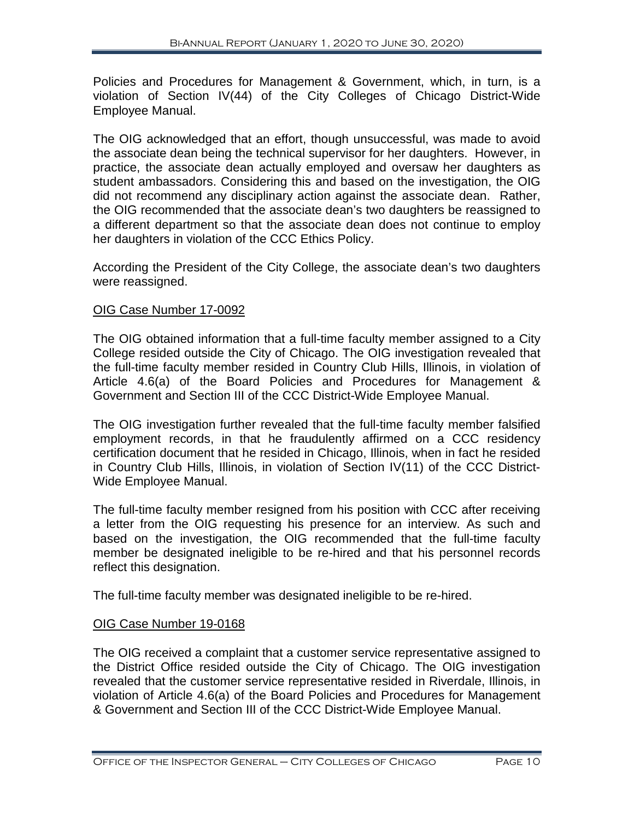Policies and Procedures for Management & Government, which, in turn, is a violation of Section IV(44) of the City Colleges of Chicago District-Wide Employee Manual.

The OIG acknowledged that an effort, though unsuccessful, was made to avoid the associate dean being the technical supervisor for her daughters. However, in practice, the associate dean actually employed and oversaw her daughters as student ambassadors. Considering this and based on the investigation, the OIG did not recommend any disciplinary action against the associate dean. Rather, the OIG recommended that the associate dean's two daughters be reassigned to a different department so that the associate dean does not continue to employ her daughters in violation of the CCC Ethics Policy.

According the President of the City College, the associate dean's two daughters were reassigned.

#### OIG Case Number 17-0092

The OIG obtained information that a full-time faculty member assigned to a City College resided outside the City of Chicago. The OIG investigation revealed that the full-time faculty member resided in Country Club Hills, Illinois, in violation of Article 4.6(a) of the Board Policies and Procedures for Management & Government and Section III of the CCC District-Wide Employee Manual.

The OIG investigation further revealed that the full-time faculty member falsified employment records, in that he fraudulently affirmed on a CCC residency certification document that he resided in Chicago, Illinois, when in fact he resided in Country Club Hills, Illinois, in violation of Section IV(11) of the CCC District-Wide Employee Manual.

The full-time faculty member resigned from his position with CCC after receiving a letter from the OIG requesting his presence for an interview. As such and based on the investigation, the OIG recommended that the full-time faculty member be designated ineligible to be re-hired and that his personnel records reflect this designation.

The full-time faculty member was designated ineligible to be re-hired.

#### OIG Case Number 19-0168

The OIG received a complaint that a customer service representative assigned to the District Office resided outside the City of Chicago. The OIG investigation revealed that the customer service representative resided in Riverdale, Illinois, in violation of Article 4.6(a) of the Board Policies and Procedures for Management & Government and Section III of the CCC District-Wide Employee Manual.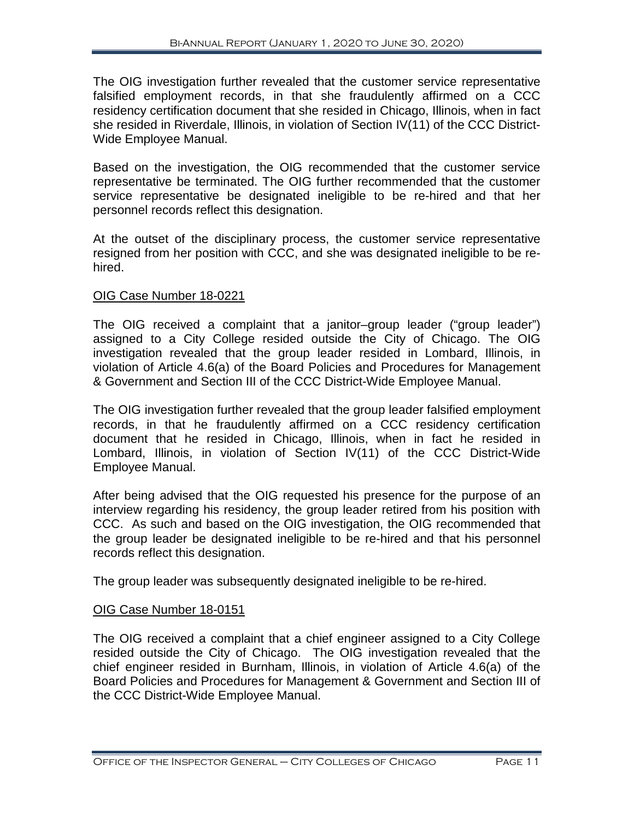The OIG investigation further revealed that the customer service representative falsified employment records, in that she fraudulently affirmed on a CCC residency certification document that she resided in Chicago, Illinois, when in fact she resided in Riverdale, Illinois, in violation of Section IV(11) of the CCC District-Wide Employee Manual.

Based on the investigation, the OIG recommended that the customer service representative be terminated. The OIG further recommended that the customer service representative be designated ineligible to be re-hired and that her personnel records reflect this designation.

At the outset of the disciplinary process, the customer service representative resigned from her position with CCC, and she was designated ineligible to be rehired.

#### OIG Case Number 18-0221

The OIG received a complaint that a janitor–group leader ("group leader") assigned to a City College resided outside the City of Chicago. The OIG investigation revealed that the group leader resided in Lombard, Illinois, in violation of Article 4.6(a) of the Board Policies and Procedures for Management & Government and Section III of the CCC District-Wide Employee Manual.

The OIG investigation further revealed that the group leader falsified employment records, in that he fraudulently affirmed on a CCC residency certification document that he resided in Chicago, Illinois, when in fact he resided in Lombard, Illinois, in violation of Section IV(11) of the CCC District-Wide Employee Manual.

After being advised that the OIG requested his presence for the purpose of an interview regarding his residency, the group leader retired from his position with CCC. As such and based on the OIG investigation, the OIG recommended that the group leader be designated ineligible to be re-hired and that his personnel records reflect this designation.

The group leader was subsequently designated ineligible to be re-hired.

#### OIG Case Number 18-0151

The OIG received a complaint that a chief engineer assigned to a City College resided outside the City of Chicago. The OIG investigation revealed that the chief engineer resided in Burnham, Illinois, in violation of Article 4.6(a) of the Board Policies and Procedures for Management & Government and Section III of the CCC District-Wide Employee Manual.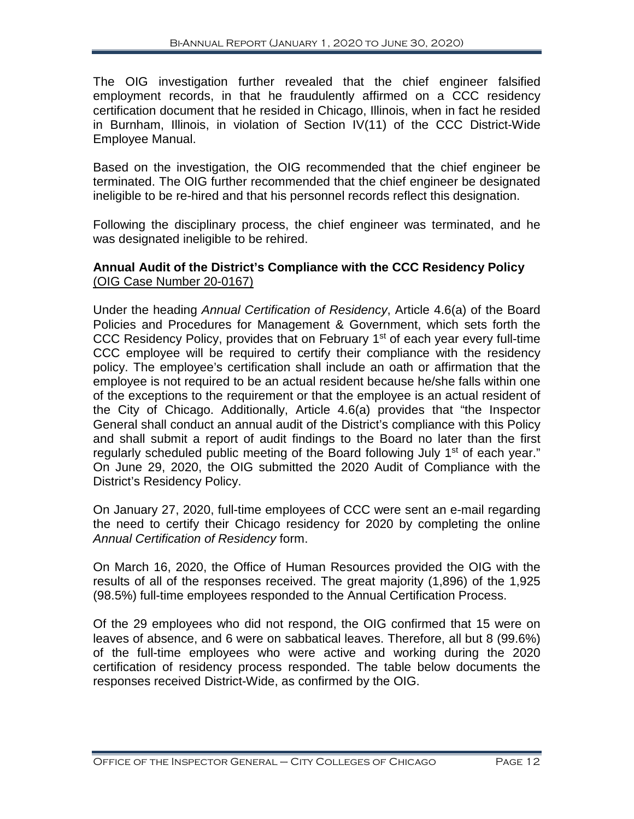The OIG investigation further revealed that the chief engineer falsified employment records, in that he fraudulently affirmed on a CCC residency certification document that he resided in Chicago, Illinois, when in fact he resided in Burnham, Illinois, in violation of Section IV(11) of the CCC District-Wide Employee Manual.

Based on the investigation, the OIG recommended that the chief engineer be terminated. The OIG further recommended that the chief engineer be designated ineligible to be re-hired and that his personnel records reflect this designation.

Following the disciplinary process, the chief engineer was terminated, and he was designated ineligible to be rehired.

#### **Annual Audit of the District's Compliance with the CCC Residency Policy** (OIG Case Number 20-0167)

Under the heading *Annual Certification of Residency*, Article 4.6(a) of the Board Policies and Procedures for Management & Government, which sets forth the CCC Residency Policy, provides that on February 1<sup>st</sup> of each year every full-time CCC employee will be required to certify their compliance with the residency policy. The employee's certification shall include an oath or affirmation that the employee is not required to be an actual resident because he/she falls within one of the exceptions to the requirement or that the employee is an actual resident of the City of Chicago. Additionally, Article 4.6(a) provides that "the Inspector General shall conduct an annual audit of the District's compliance with this Policy and shall submit a report of audit findings to the Board no later than the first regularly scheduled public meeting of the Board following July 1<sup>st</sup> of each year." On June 29, 2020, the OIG submitted the 2020 Audit of Compliance with the District's Residency Policy.

On January 27, 2020, full-time employees of CCC were sent an e-mail regarding the need to certify their Chicago residency for 2020 by completing the online *Annual Certification of Residency* form.

On March 16, 2020, the Office of Human Resources provided the OIG with the results of all of the responses received. The great majority (1,896) of the 1,925 (98.5%) full-time employees responded to the Annual Certification Process.

Of the 29 employees who did not respond, the OIG confirmed that 15 were on leaves of absence, and 6 were on sabbatical leaves. Therefore, all but 8 (99.6%) of the full-time employees who were active and working during the 2020 certification of residency process responded. The table below documents the responses received District-Wide, as confirmed by the OIG.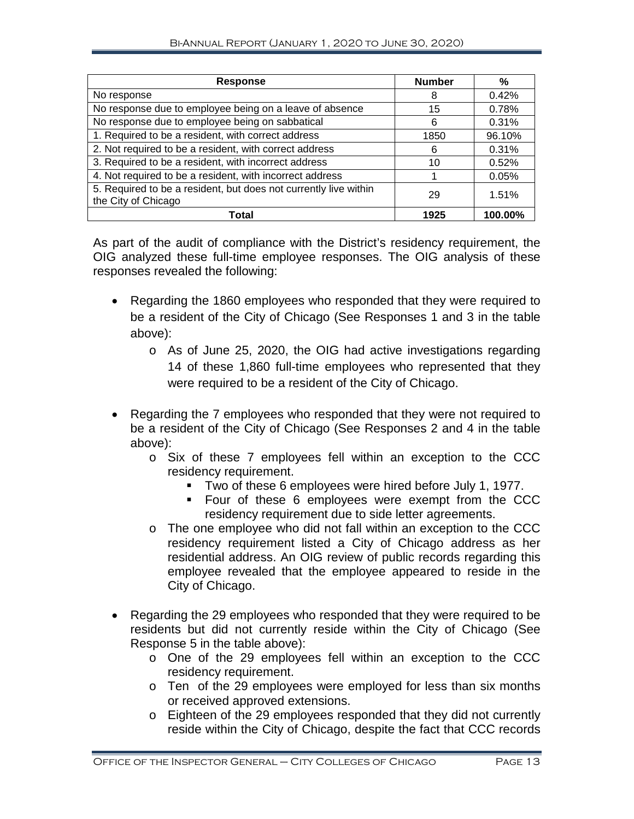| <b>Response</b>                                                                         | <b>Number</b> | ℅       |
|-----------------------------------------------------------------------------------------|---------------|---------|
| No response                                                                             | 8             | 0.42%   |
| No response due to employee being on a leave of absence                                 | 15            | 0.78%   |
| No response due to employee being on sabbatical                                         | 6             | 0.31%   |
| 1. Required to be a resident, with correct address                                      | 1850          | 96.10%  |
| 2. Not required to be a resident, with correct address                                  | 6             | 0.31%   |
| 3. Required to be a resident, with incorrect address                                    | 10            | 0.52%   |
| 4. Not required to be a resident, with incorrect address                                |               | 0.05%   |
| 5. Required to be a resident, but does not currently live within<br>the City of Chicago | 29            | 1.51%   |
| Total                                                                                   | 1925          | 100.00% |

As part of the audit of compliance with the District's residency requirement, the OIG analyzed these full-time employee responses. The OIG analysis of these responses revealed the following:

- Regarding the 1860 employees who responded that they were required to be a resident of the City of Chicago (See Responses 1 and 3 in the table above):
	- o As of June 25, 2020, the OIG had active investigations regarding 14 of these 1,860 full-time employees who represented that they were required to be a resident of the City of Chicago.
- Regarding the 7 employees who responded that they were not required to be a resident of the City of Chicago (See Responses 2 and 4 in the table above):
	- o Six of these 7 employees fell within an exception to the CCC residency requirement.
		- Two of these 6 employees were hired before July 1, 1977.
		- **Four of these 6 employees were exempt from the CCC** residency requirement due to side letter agreements.
	- o The one employee who did not fall within an exception to the CCC residency requirement listed a City of Chicago address as her residential address. An OIG review of public records regarding this employee revealed that the employee appeared to reside in the City of Chicago.
- Regarding the 29 employees who responded that they were required to be residents but did not currently reside within the City of Chicago (See Response 5 in the table above):
	- o One of the 29 employees fell within an exception to the CCC residency requirement.
	- o Ten of the 29 employees were employed for less than six months or received approved extensions.
	- o Eighteen of the 29 employees responded that they did not currently reside within the City of Chicago, despite the fact that CCC records